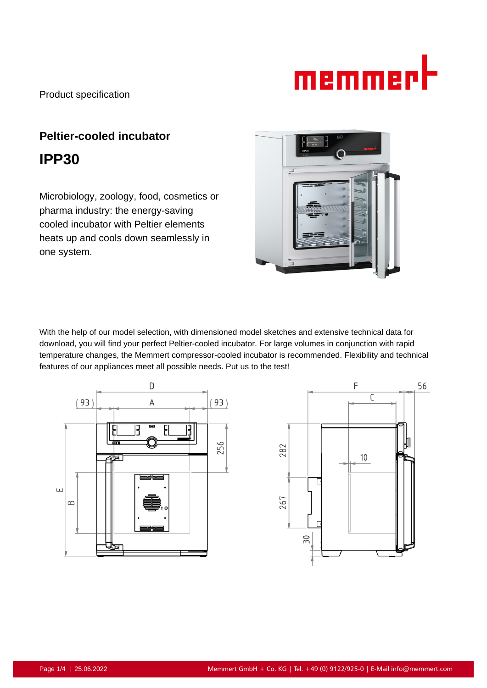# memmer

# **Peltier-cooled incubator IPP30**

Microbiology, zoology, food, cosmetics or pharma industry: the energy-saving cooled incubator with Peltier elements heats up and cools down seamlessly in one system.

With the help of our model selection, with dimensioned model sketches and extensive technical data for download, you will find your perfect Peltier-cooled incubator. For large volumes in conjunction with rapid temperature changes, the Memmert compressor-cooled incubator is recommended. Flexibility and technical features of our appliances meet all possible needs. Put us to the test!



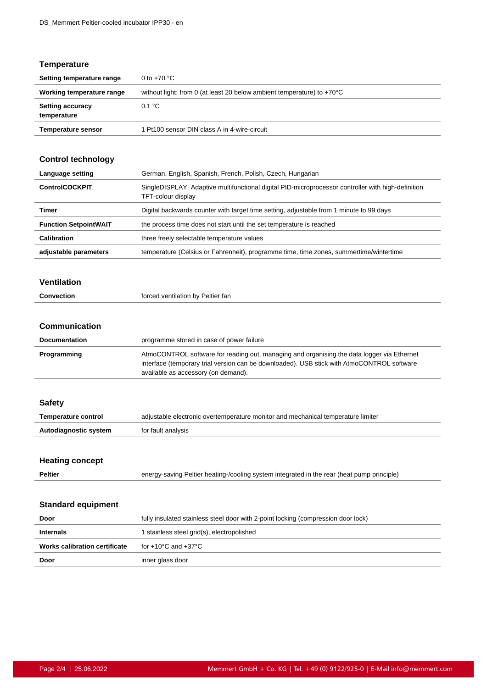#### **Temperature**

| Setting temperature range              | 0 to $+70$ °C                                                                    |
|----------------------------------------|----------------------------------------------------------------------------------|
| Working temperature range              | without light: from 0 (at least 20 below ambient temperature) to $+70^{\circ}$ C |
| <b>Setting accuracy</b><br>temperature | 0.1 °C                                                                           |
| <b>Temperature sensor</b>              | 1 Pt100 sensor DIN class A in 4-wire-circuit                                     |

## **Control technology**

| Language setting             | German, English, Spanish, French, Polish, Czech, Hungarian                                                               |
|------------------------------|--------------------------------------------------------------------------------------------------------------------------|
| <b>ControlCOCKPIT</b>        | SingleDISPLAY. Adaptive multifunctional digital PID-microprocessor controller with high-definition<br>TFT-colour display |
| Timer                        | Digital backwards counter with target time setting, adjustable from 1 minute to 99 days                                  |
| <b>Function SetpointWAIT</b> | the process time does not start until the set temperature is reached                                                     |
| <b>Calibration</b>           | three freely selectable temperature values                                                                               |
| adjustable parameters        | temperature (Celsius or Fahrenheit), programme time, time zones, summertime/wintertime                                   |

#### **Ventilation**

| <b>Convection</b> | forced ventilation by Peltier fan |
|-------------------|-----------------------------------|
|                   |                                   |

#### **Communication**

| <b>Documentation</b> | programme stored in case of power failure                                                                                                                                                                                       |
|----------------------|---------------------------------------------------------------------------------------------------------------------------------------------------------------------------------------------------------------------------------|
| Programming          | AtmoCONTROL software for reading out, managing and organising the data logger via Ethernet<br>interface (temporary trial version can be downloaded). USB stick with AtmoCONTROL software<br>available as accessory (on demand). |

#### **Safety**

| Temperature control   | adjustable electronic overtemperature monitor and mechanical temperature limiter |
|-----------------------|----------------------------------------------------------------------------------|
| Autodiagnostic system | for fault analysis                                                               |

#### **Heating concept**

| <b>Peltier</b> | energy-saving Peltier heating-/cooling system integrated in the rear (heat pump principle) |  |
|----------------|--------------------------------------------------------------------------------------------|--|
|                |                                                                                            |  |

#### **Standard equipment**

| Door                          | fully insulated stainless steel door with 2-point locking (compression door lock) |
|-------------------------------|-----------------------------------------------------------------------------------|
| <b>Internals</b>              | I stainless steel grid(s), electropolished                                        |
| Works calibration certificate | for +10°C and +37°C                                                               |
| Door                          | inner glass door                                                                  |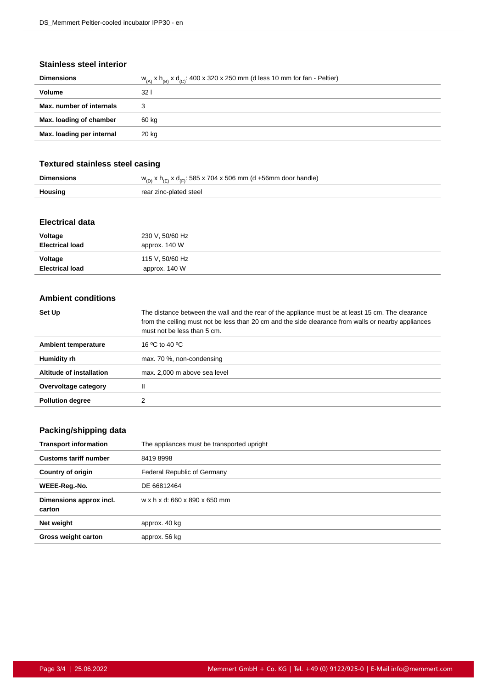#### **Stainless steel interior**

| <b>Dimensions</b>         | $w_{(A)}$ x $h_{(B)}$ x $d_{(C)}$ : 400 x 320 x 250 mm (d less 10 mm for fan - Peltier) |
|---------------------------|-----------------------------------------------------------------------------------------|
| <b>Volume</b>             | 32 <sub>1</sub>                                                                         |
| Max. number of internals  | 3                                                                                       |
| Max. loading of chamber   | 60 kg                                                                                   |
| Max. loading per internal | 20 kg                                                                                   |
|                           |                                                                                         |

#### **Textured stainless steel casing**

|                | $w_{(n)}$ x h <sub>(E)</sub> x d <sub>(E)</sub> : 585 x 704 x 506 mm (d +56mm door handle) |
|----------------|--------------------------------------------------------------------------------------------|
| <b>Housing</b> | rear zinc-plated steel                                                                     |

#### **Electrical data**

| Voltage                | 230 V, 50/60 Hz |
|------------------------|-----------------|
| <b>Electrical load</b> | approx. 140 W   |
| Voltage                | 115 V, 50/60 Hz |
| <b>Electrical load</b> | approx. 140 W   |

#### **Ambient conditions**

| Set Up                   | The distance between the wall and the rear of the appliance must be at least 15 cm. The clearance<br>from the ceiling must not be less than 20 cm and the side clearance from walls or nearby appliances<br>must not be less than 5 cm. |
|--------------------------|-----------------------------------------------------------------------------------------------------------------------------------------------------------------------------------------------------------------------------------------|
| Ambient temperature      | 16 °C to 40 °C                                                                                                                                                                                                                          |
| Humidity rh              | max. 70 %, non-condensing                                                                                                                                                                                                               |
| Altitude of installation | max. 2,000 m above sea level                                                                                                                                                                                                            |
| Overvoltage category     | Ш                                                                                                                                                                                                                                       |
| <b>Pollution degree</b>  |                                                                                                                                                                                                                                         |

## **Packing/shipping data**

| <b>Transport information</b>      | The appliances must be transported upright |
|-----------------------------------|--------------------------------------------|
| <b>Customs tariff number</b>      | 84198998                                   |
| <b>Country of origin</b>          | Federal Republic of Germany                |
| WEEE-Reg.-No.                     | DE 66812464                                |
| Dimensions approx incl.<br>carton | w x h x d: 660 x 890 x 650 mm              |
| Net weight                        | approx. 40 kg                              |
| <b>Gross weight carton</b>        | approx. 56 kg                              |